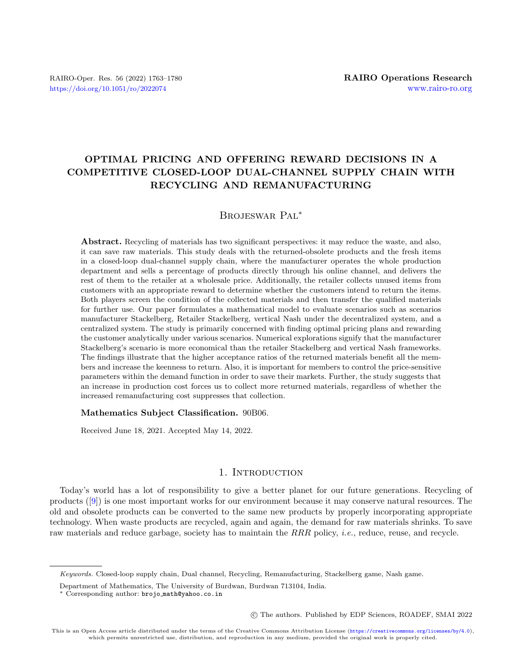# OPTIMAL PRICING AND OFFERING REWARD DECISIONS IN A COMPETITIVE CLOSED-LOOP DUAL-CHANNEL SUPPLY CHAIN WITH RECYCLING AND REMANUFACTURING

# Brojeswar Pal\*

Abstract. Recycling of materials has two significant perspectives: it may reduce the waste, and also, it can save raw materials. This study deals with the returned-obsolete products and the fresh items in a closed-loop dual-channel supply chain, where the manufacturer operates the whole production department and sells a percentage of products directly through his online channel, and delivers the rest of them to the retailer at a wholesale price. Additionally, the retailer collects unused items from customers with an appropriate reward to determine whether the customers intend to return the items. Both players screen the condition of the collected materials and then transfer the qualified materials for further use. Our paper formulates a mathematical model to evaluate scenarios such as scenarios manufacturer Stackelberg, Retailer Stackelberg, vertical Nash under the decentralized system, and a centralized system. The study is primarily concerned with finding optimal pricing plans and rewarding the customer analytically under various scenarios. Numerical explorations signify that the manufacturer Stackelberg's scenario is more economical than the retailer Stackelberg and vertical Nash frameworks. The findings illustrate that the higher acceptance ratios of the returned materials benefit all the members and increase the keenness to return. Also, it is important for members to control the price-sensitive parameters within the demand function in order to save their markets. Further, the study suggests that an increase in production cost forces us to collect more returned materials, regardless of whether the increased remanufacturing cost suppresses that collection.

#### Mathematics Subject Classification. 90B06.

Received June 18, 2021. Accepted May 14, 2022.

# 1. INTRODUCTION

Today's world has a lot of responsibility to give a better planet for our future generations. Recycling of products ([\[9\]](#page-15-0)) is one most important works for our environment because it may conserve natural resources. The old and obsolete products can be converted to the same new products by properly incorporating appropriate technology. When waste products are recycled, again and again, the demand for raw materials shrinks. To save raw materials and reduce garbage, society has to maintain the  $RRR$  policy, *i.e.*, reduce, reuse, and recycle.

○c The authors. Published by EDP Sciences, ROADEF, SMAI 2022

Keywords. Closed-loop supply chain, Dual channel, Recycling, Remanufacturing, Stackelberg game, Nash game.

Department of Mathematics, The University of Burdwan, Burdwan 713104, India.

<sup>\*</sup> Corresponding author: brojo [math@yahoo.co.in](mailto:brojo_math@yahoo.co.in)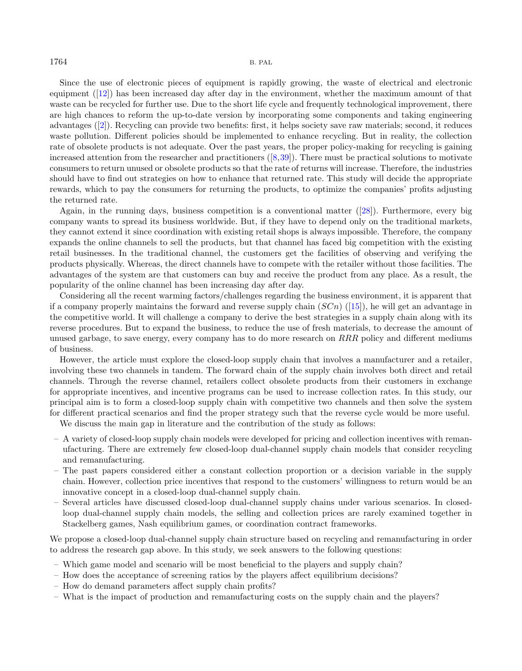Since the use of electronic pieces of equipment is rapidly growing, the waste of electrical and electronic equipment ([\[12\]](#page-15-1)) has been increased day after day in the environment, whether the maximum amount of that waste can be recycled for further use. Due to the short life cycle and frequently technological improvement, there are high chances to reform the up-to-date version by incorporating some components and taking engineering advantages ([\[2\]](#page-15-2)). Recycling can provide two benefits: first, it helps society save raw materials; second, it reduces waste pollution. Different policies should be implemented to enhance recycling. But in reality, the collection rate of obsolete products is not adequate. Over the past years, the proper policy-making for recycling is gaining increased attention from the researcher and practitioners  $([8,39])$  $([8,39])$  $([8,39])$  $([8,39])$ . There must be practical solutions to motivate consumers to return unused or obsolete products so that the rate of returns will increase. Therefore, the industries should have to find out strategies on how to enhance that returned rate. This study will decide the appropriate rewards, which to pay the consumers for returning the products, to optimize the companies' profits adjusting the returned rate.

Again, in the running days, business competition is a conventional matter ([\[28\]](#page-16-1)). Furthermore, every big company wants to spread its business worldwide. But, if they have to depend only on the traditional markets, they cannot extend it since coordination with existing retail shops is always impossible. Therefore, the company expands the online channels to sell the products, but that channel has faced big competition with the existing retail businesses. In the traditional channel, the customers get the facilities of observing and verifying the products physically. Whereas, the direct channels have to compete with the retailer without those facilities. The advantages of the system are that customers can buy and receive the product from any place. As a result, the popularity of the online channel has been increasing day after day.

Considering all the recent warming factors/challenges regarding the business environment, it is apparent that if a company properly maintains the forward and reverse supply chain  $(SCn)$  ([\[15\]](#page-16-2)), he will get an advantage in the competitive world. It will challenge a company to derive the best strategies in a supply chain along with its reverse procedures. But to expand the business, to reduce the use of fresh materials, to decrease the amount of unused garbage, to save energy, every company has to do more research on  $RRR$  policy and different mediums of business.

However, the article must explore the closed-loop supply chain that involves a manufacturer and a retailer, involving these two channels in tandem. The forward chain of the supply chain involves both direct and retail channels. Through the reverse channel, retailers collect obsolete products from their customers in exchange for appropriate incentives, and incentive programs can be used to increase collection rates. In this study, our principal aim is to form a closed-loop supply chain with competitive two channels and then solve the system for different practical scenarios and find the proper strategy such that the reverse cycle would be more useful.

We discuss the main gap in literature and the contribution of the study as follows:

- A variety of closed-loop supply chain models were developed for pricing and collection incentives with remanufacturing. There are extremely few closed-loop dual-channel supply chain models that consider recycling and remanufacturing.
- The past papers considered either a constant collection proportion or a decision variable in the supply chain. However, collection price incentives that respond to the customers' willingness to return would be an innovative concept in a closed-loop dual-channel supply chain.
- Several articles have discussed closed-loop dual-channel supply chains under various scenarios. In closedloop dual-channel supply chain models, the selling and collection prices are rarely examined together in Stackelberg games, Nash equilibrium games, or coordination contract frameworks.

We propose a closed-loop dual-channel supply chain structure based on recycling and remanufacturing in order to address the research gap above. In this study, we seek answers to the following questions:

- Which game model and scenario will be most beneficial to the players and supply chain?
- How does the acceptance of screening ratios by the players affect equilibrium decisions?
- How do demand parameters affect supply chain profits?
- What is the impact of production and remanufacturing costs on the supply chain and the players?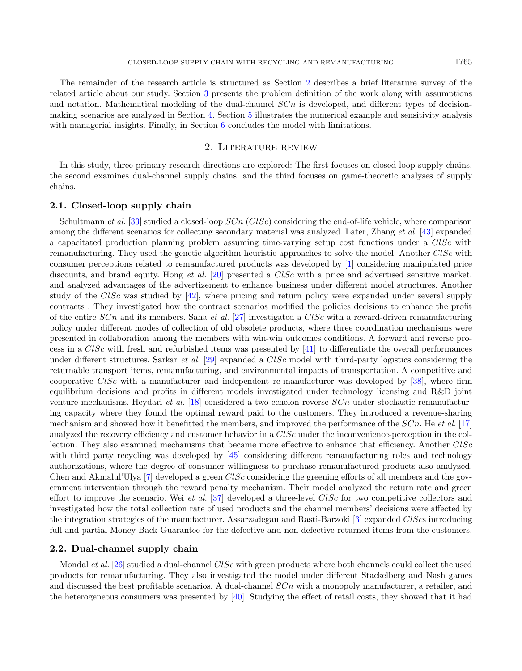The remainder of the research article is structured as Section [2](#page-2-0) describes a brief literature survey of the related article about our study. Section [3](#page-3-0) presents the problem definition of the work along with assumptions and notation. Mathematical modeling of the dual-channel  $SCn$  is developed, and different types of decisionmaking scenarios are analyzed in Section [4.](#page-6-0) Section [5](#page-10-0) illustrates the numerical example and sensitivity analysis with managerial insights. Finally, in Section [6](#page-14-0) concludes the model with limitations.

# 2. Literature review

<span id="page-2-0"></span>In this study, three primary research directions are explored: The first focuses on closed-loop supply chains, the second examines dual-channel supply chains, and the third focuses on game-theoretic analyses of supply chains.

### 2.1. Closed-loop supply chain

Schultmann et al. [\[33\]](#page-16-3) studied a closed-loop  $SCn$  (ClSc) considering the end-of-life vehicle, where comparison among the different scenarios for collecting secondary material was analyzed. Later, Zhang et al. [\[43\]](#page-16-4) expanded a capacitated production planning problem assuming time-varying setup cost functions under a  $CISc$  with remanufacturing. They used the genetic algorithm heuristic approaches to solve the model. Another  $CISc$  with consumer perceptions related to remanufactured products was developed by [\[1\]](#page-15-4) considering manipulated price discounts, and brand equity. Hong et al. [\[20\]](#page-16-5) presented a  $CISc$  with a price and advertised sensitive market. and analyzed advantages of the advertizement to enhance business under different model structures. Another study of the  $CISE$  was studied by [\[42\]](#page-16-6), where pricing and return policy were expanded under several supply contracts . They investigated how the contract scenarios modified the policies decisions to enhance the profit of the entire  $SCn$  and its members. Saha *et al.* [\[27\]](#page-16-7) investigated a  $CISE$  with a reward-driven remanufacturing policy under different modes of collection of old obsolete products, where three coordination mechanisms were presented in collaboration among the members with win-win outcomes conditions. A forward and reverse process in a  $ClSc$  with fresh and refurbished items was presented by [\[41\]](#page-16-8) to differentiate the overall performances under different structures. Sarkar et al. [\[29\]](#page-16-9) expanded a  $ClSc$  model with third-party logistics considering the returnable transport items, remanufacturing, and environmental impacts of transportation. A competitive and cooperative  $CISc$  with a manufacturer and independent re-manufacturer was developed by [\[38\]](#page-16-10), where firm equilibrium decisions and profits in different models investigated under technology licensing and R&D joint venture mechanisms. Heydari et al. [\[18\]](#page-16-11) considered a two-echelon reverse  $SCn$  under stochastic remanufacturing capacity where they found the optimal reward paid to the customers. They introduced a revenue-sharing mechanism and showed how it benefitted the members, and improved the performance of the  $SCn$ . He et al. [\[17\]](#page-16-12) analyzed the recovery efficiency and customer behavior in a  $CISc$  under the inconvenience-perception in the collection. They also examined mechanisms that became more effective to enhance that efficiency. Another CISc with third party recycling was developed by [\[45\]](#page-17-0) considering different remanufacturing roles and technology authorizations, where the degree of consumer willingness to purchase remanufactured products also analyzed. Chen and Akmalul'Ulya  $[7]$  developed a green  $ClSc$  considering the greening efforts of all members and the government intervention through the reward penalty mechanism. Their model analyzed the return rate and green effort to improve the scenario. Wei et al. [\[37\]](#page-16-13) developed a three-level  $CISc$  for two competitive collectors and investigated how the total collection rate of used products and the channel members' decisions were affected by the integration strategies of the manufacturer. Assarzadegan and Rasti-Barzoki  $[3]$  expanded ClScs introducing full and partial Money Back Guarantee for the defective and non-defective returned items from the customers.

# 2.2. Dual-channel supply chain

Mondal *et al.* [\[26\]](#page-16-14) studied a dual-channel  $CISc$  with green products where both channels could collect the used products for remanufacturing. They also investigated the model under different Stackelberg and Nash games and discussed the best profitable scenarios. A dual-channel  $SCn$  with a monopoly manufacturer, a retailer, and the heterogeneous consumers was presented by [\[40\]](#page-16-15). Studying the effect of retail costs, they showed that it had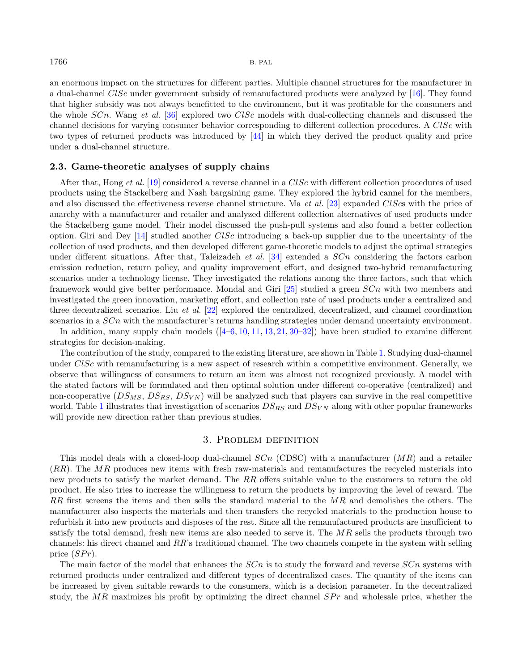an enormous impact on the structures for different parties. Multiple channel structures for the manufacturer in a dual-channel  $CISc$  under government subsidy of remanufactured products were analyzed by [\[16\]](#page-16-16). They found that higher subsidy was not always benefitted to the environment, but it was profitable for the consumers and the whole  $SCn$ . Wang et al. [\[36\]](#page-16-17) explored two  $CISc$  models with dual-collecting channels and discussed the channel decisions for varying consumer behavior corresponding to different collection procedures. A  $CISc$  with two types of returned products was introduced by [\[44\]](#page-17-1) in which they derived the product quality and price under a dual-channel structure.

# 2.3. Game-theoretic analyses of supply chains

After that, Hong et al. [\[19\]](#page-16-18) considered a reverse channel in a  $CISc$  with different collection procedures of used products using the Stackelberg and Nash bargaining game. They explored the hybrid cannel for the members, and also discussed the effectiveness reverse channel structure. Ma et al. [\[23\]](#page-16-19) expanded  $\text{C} l \text{S} \text{cs}$  with the price of anarchy with a manufacturer and retailer and analyzed different collection alternatives of used products under the Stackelberg game model. Their model discussed the push-pull systems and also found a better collection option. Giri and Dey  $[14]$  studied another ClSc introducing a back-up supplier due to the uncertainty of the collection of used products, and then developed different game-theoretic models to adjust the optimal strategies under different situations. After that, Taleizadeh *et al.* [\[34\]](#page-16-21) extended a  $SCn$  considering the factors carbon emission reduction, return policy, and quality improvement effort, and designed two-hybrid remanufacturing scenarios under a technology license. They investigated the relations among the three factors, such that which framework would give better performance. Mondal and Giri  $[25]$  studied a green  $SCn$  with two members and investigated the green innovation, marketing effort, and collection rate of used products under a centralized and three decentralized scenarios. Liu *et al.* [\[22\]](#page-16-23) explored the centralized, decentralized, and channel coordination scenarios in a  $SCn$  with the manufacturer's returns handling strategies under demand uncertainty environment.

In addition, many supply chain models  $([4–6, 10, 11, 13, 21, 30–32])$  $([4–6, 10, 11, 13, 21, 30–32])$  $([4–6, 10, 11, 13, 21, 30–32])$  $([4–6, 10, 11, 13, 21, 30–32])$  $([4–6, 10, 11, 13, 21, 30–32])$  $([4–6, 10, 11, 13, 21, 30–32])$  $([4–6, 10, 11, 13, 21, 30–32])$  $([4–6, 10, 11, 13, 21, 30–32])$  $([4–6, 10, 11, 13, 21, 30–32])$  $([4–6, 10, 11, 13, 21, 30–32])$  $([4–6, 10, 11, 13, 21, 30–32])$  $([4–6, 10, 11, 13, 21, 30–32])$  $([4–6, 10, 11, 13, 21, 30–32])$  $([4–6, 10, 11, 13, 21, 30–32])$  $([4–6, 10, 11, 13, 21, 30–32])$  have been studied to examine different strategies for decision-making.

The contribution of the study, compared to the existing literature, are shown in Table [1.](#page-4-0) Studying dual-channel under  $CISc$  with remanufacturing is a new aspect of research within a competitive environment. Generally, we observe that willingness of consumers to return an item was almost not recognized previously. A model with the stated factors will be formulated and then optimal solution under different co-operative (centralized) and non-cooperative  $(DS_{MS}, DS_{RS}, DS_{VN})$  will be analyzed such that players can survive in the real competitive world. Table [1](#page-4-0) illustrates that investigation of scenarios  $DS_{RS}$  and  $DS_{VN}$  along with other popular frameworks will provide new direction rather than previous studies.

# 3. Problem definition

<span id="page-3-0"></span>This model deals with a closed-loop dual-channel  $SCn$  (CDSC) with a manufacturer  $(MR)$  and a retailer  $(RR)$ . The MR produces new items with fresh raw-materials and remanufactures the recycled materials into new products to satisfy the market demand. The  $RR$  offers suitable value to the customers to return the old product. He also tries to increase the willingness to return the products by improving the level of reward. The RR first screens the items and then sells the standard material to the  $MR$  and demolishes the others. The manufacturer also inspects the materials and then transfers the recycled materials to the production house to refurbish it into new products and disposes of the rest. Since all the remanufactured products are insufficient to satisfy the total demand, fresh new items are also needed to serve it. The  $MR$  sells the products through two channels: his direct channel and  $RR$ 's traditional channel. The two channels compete in the system with selling price  $(SPr)$ .

The main factor of the model that enhances the  $SCn$  is to study the forward and reverse  $SCn$  systems with returned products under centralized and different types of decentralized cases. The quantity of the items can be increased by given suitable rewards to the consumers, which is a decision parameter. In the decentralized study, the MR maximizes his profit by optimizing the direct channel  $SPr$  and wholesale price, whether the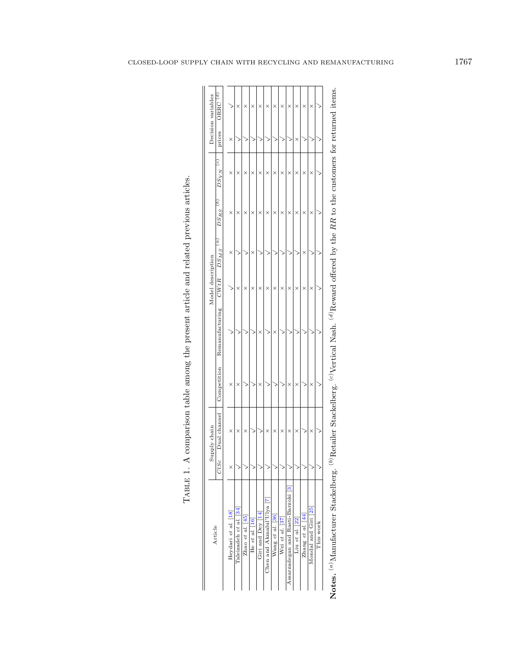<span id="page-4-0"></span>

| Article                                       |         | Supply chain |             |                 | Model description |                |                |                 |        | Decision variables  |
|-----------------------------------------------|---------|--------------|-------------|-----------------|-------------------|----------------|----------------|-----------------|--------|---------------------|
|                                               | C l S c | Dual channel | Competition | Remanufacturing | CWtR              | g<br>$DS_{MS}$ | S<br>$DS_{RS}$ | ୍ର<br>$DS_{VN}$ | prices | ORRC <sup>(d)</sup> |
| Heydari et al. [18]                           | ×       | ×            | ×           |                 | ≧                 | ×              | ×              | ×               | ×      |                     |
| Taleizadeh et al. [34]                        |         | ×            | ×           |                 | ×                 |                | ×              | ×               | ₹      | ×                   |
| Zhao et al. [45]                              |         | ×            |             |                 | ×                 | 2              | ×              | ×               |        | ×                   |
| He et al. [16]                                |         |              |             |                 | ×                 | ×              | ×              | ×               |        | ×                   |
| Giri and Dey [14]                             |         |              | ×           | ×               | ×                 |                | ×              | ×               |        | ×                   |
| Chen and Akmalul'Ulya <sup>[7]</sup>          |         | ×            |             |                 | ×                 |                | ×              | ×               |        | ×                   |
| Wang et al. [36]                              |         | ×            |             | ×               | ×                 |                | ×              | ×               |        | ×                   |
| Wei et al. [37]                               |         | ×            |             |                 | ×                 |                | ×              | ×               |        | ×                   |
| Assarzadegan and Rasti-Barzoki <sup>[3]</sup> |         | ×            | ×           |                 | ×                 |                | ×              | ×               |        | ×                   |
| Liu et al. [22]                               |         | ×            | ×           |                 | ×                 |                | ×              | ×               | ×      | ×                   |
| Zhang et al. [44]                             |         | ≧            | 冫           |                 | ×                 | ×              | ×              | ×               | 2      | ×                   |
| Mondal and Giri <sup>[25]</sup>               |         | ×            | ×           |                 | ×                 |                | ×              | ×               |        | ×                   |
| This work                                     |         |              |             |                 |                   |                |                |                 |        |                     |

| i<br>3333                                                                                                                                                                                                                                                                                                                                                                                                                                                                                                                                                                                                                                                                                                                                                         |
|-------------------------------------------------------------------------------------------------------------------------------------------------------------------------------------------------------------------------------------------------------------------------------------------------------------------------------------------------------------------------------------------------------------------------------------------------------------------------------------------------------------------------------------------------------------------------------------------------------------------------------------------------------------------------------------------------------------------------------------------------------------------|
| ĺ<br>l<br>l                                                                                                                                                                                                                                                                                                                                                                                                                                                                                                                                                                                                                                                                                                                                                       |
|                                                                                                                                                                                                                                                                                                                                                                                                                                                                                                                                                                                                                                                                                                                                                                   |
| ֧֧֧֧֦֧֧֦֧֦֧֦֧ׅ֧֧֧ׅ֧֧֧֧֧֧֪֧֧֧֧֧֛֪֛֪֛֛֛֛֛֛֚֚֚֚֚֚֚֚֚֚֚֚֚֚֚֚֚֚֚֚֚֚֚֚֚֚֚֚֝֝֟֓֝֬֝֓֝֬֝֬֝֬֜֓֝֬֝֬֜֝֬֝֬֝֬֝֬֝֝֬֜֝֬֜<br>֧֧֛֛֛֛֛֛֛֛֛֛֪֛֜֜֜֜֜֜֜֜֜֜֜֝֝<br>;<br>;<br>;                                                                                                                                                                                                                                                                                                                                                                                                                                                                                                                                                                                                            |
| .<br>1<br>l<br>I                                                                                                                                                                                                                                                                                                                                                                                                                                                                                                                                                                                                                                                                                                                                                  |
| )<br>><br>><br>><br>)                                                                                                                                                                                                                                                                                                                                                                                                                                                                                                                                                                                                                                                                                                                                             |
|                                                                                                                                                                                                                                                                                                                                                                                                                                                                                                                                                                                                                                                                                                                                                                   |
| 「Line of the control of the control of the control of the control of the control of the control of the control of the control of the control of the control of the control of the control of the control of the control of t<br>$\begin{minipage}{0.9\linewidth} \begin{tabular}{l} \multicolumn{2}{c}{\textbf{0.9\linewidth}} \end{tabular} \end{minipage} \begin{minipage}{0.9\linewidth} \begin{tabular}{l} \multicolumn{2}{c}{\textbf{0.9\linewidth}} \end{tabular} \end{minipage} \begin{minipage}{0.9\linewidth} \begin{tabular}{l} \multicolumn{2}{c}{\textbf{0.9\linewidth}} \end{tabular} \end{minipage} \begin{minipage}{0.9\linewidth} \end{minipage} \begin{minipage}{0.9\linewidth} \end{minipage} \begin{minipage}{0.9\linewidth} \end{minipage} \$ |
|                                                                                                                                                                                                                                                                                                                                                                                                                                                                                                                                                                                                                                                                                                                                                                   |
|                                                                                                                                                                                                                                                                                                                                                                                                                                                                                                                                                                                                                                                                                                                                                                   |
| ļ<br>j<br>i<br>E                                                                                                                                                                                                                                                                                                                                                                                                                                                                                                                                                                                                                                                                                                                                                  |

Notes. (a)Manufacturer Stackelberg. (b)Retailer Stackelberg. (c)Vertical Nash. (d)Reward offered by the RR to the customers for returned items.  $^{(a)}$ Manufacturer Stackelberg.  $(b)$ Retailer Stackelberg.  $\left( ^{c}\right)$  Vertical Nash.  $\left( d\right)$  Reward offered by the  $RR$  to the customers for returned items.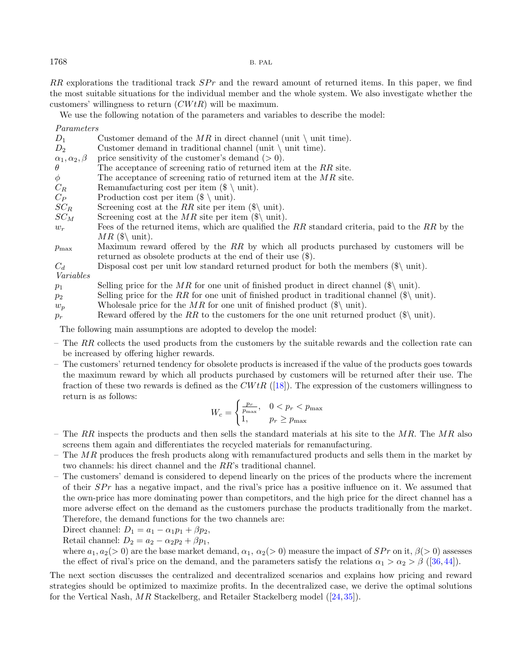$RR$  explorations the traditional track  $SPr$  and the reward amount of returned items. In this paper, we find the most suitable situations for the individual member and the whole system. We also investigate whether the customers' willingness to return  $(CWtR)$  will be maximum.

We use the following notation of the parameters and variables to describe the model:

Parameters

| $1$ $u_1 u_1 v_2 v_1 v_2$   |                                                                                                                           |
|-----------------------------|---------------------------------------------------------------------------------------------------------------------------|
| $D_1$                       | Customer demand of the MR in direct channel (unit $\$ unit time).                                                         |
| $D_2$                       | Customer demand in traditional channel (unit $\mid$ unit time).                                                           |
| $\alpha_1, \alpha_2, \beta$ | price sensitivity of the customer's demand $(0)$ .                                                                        |
| $\theta$                    | The acceptance of screening ratio of returned item at the $RR$ site.                                                      |
| $\phi$                      | The acceptance of screening ratio of returned item at the $MR$ site.                                                      |
| $C_R$                       | Remanufacturing cost per item $(\$\setminus\text{unit})$ .                                                                |
| $C_P$                       | Production cost per item $(\$\setminus$ unit)$ .                                                                          |
| $SC_R$                      | Screening cost at the RR site per item $(\$\)$ unit).                                                                     |
| $SC_M$                      | Screening cost at the MR site per item $(\$\)$ unit).                                                                     |
| $w_r$                       | Fees of the returned items, which are qualified the RR standard criteria, paid to the RR by the                           |
|                             | MR $(\$\)$ unit).<br>Maximum reward offered by the $RR$ by which all products purchased by customers will be              |
| $p_{\max}$                  | returned as obsolete products at the end of their use $(\$)$ .                                                            |
| $C_d$                       | Disposal cost per unit low standard returned product for both the members $(\hat{\mathbf{x}})$ unit).                     |
| Variables                   |                                                                                                                           |
| $p_1$                       | Selling price for the MR for one unit of finished product in direct channel $(\hat{\mathbf{x}})$ unit).                   |
| $p_2$                       | Selling price for the RR for one unit of finished product in traditional channel $(\mathcal{F})$ unit).                   |
| $w_p$                       | Wholesale price for the MR for one unit of finished product $(\hat{\mathbf{x}} \mid \text{unit})$ .                       |
| $p_r$                       | Reward offered by the RR to the customers for the one unit returned product $(\hat{\mathcal{S}} \setminus \text{unit})$ . |
|                             |                                                                                                                           |

The following main assumptions are adopted to develop the model:

- The  $RR$  collects the used products from the customers by the suitable rewards and the collection rate can be increased by offering higher rewards.
- The customers' returned tendency for obsolete products is increased if the value of the products goes towards the maximum reward by which all products purchased by customers will be returned after their use. The fraction of these two rewards is defined as the  $CWtR$  ([\[18\]](#page-16-11)). The expression of the customers willingness to return is as follows:

$$
W_c = \begin{cases} \frac{p_r}{p_{\text{max}}}, & 0 < p_r < p_{\text{max}}\\ 1, & p_r \ge p_{\text{max}} \end{cases}
$$

- The RR inspects the products and then sells the standard materials at his site to the  $MR$ . The  $MR$  also screens them again and differentiates the recycled materials for remanufacturing.
- The  $MR$  produces the fresh products along with remanufactured products and sells them in the market by two channels: his direct channel and the  $RR$ 's traditional channel.
- The customers' demand is considered to depend linearly on the prices of the products where the increment of their  $SPr$  has a negative impact, and the rival's price has a positive influence on it. We assumed that the own-price has more dominating power than competitors, and the high price for the direct channel has a more adverse effect on the demand as the customers purchase the products traditionally from the market. Therefore, the demand functions for the two channels are:

Direct channel:  $D_1 = a_1 - \alpha_1 p_1 + \beta p_2$ ,

Retail channel:  $D_2 = a_2 - \alpha_2 p_2 + \beta p_1$ ,

where  $a_1, a_2(> 0)$  are the base market demand,  $\alpha_1, \alpha_2(> 0)$  measure the impact of  $SPr$  on it,  $\beta(> 0)$  assesses the effect of rival's price on the demand, and the parameters satisfy the relations  $\alpha_1 > \alpha_2 > \beta$  ([\[36,](#page-16-17)[44\]](#page-17-1)).

The next section discusses the centralized and decentralized scenarios and explains how pricing and reward strategies should be optimized to maximize profits. In the decentralized case, we derive the optimal solutions for the Vertical Nash,  $MR$  Stackelberg, and Retailer Stackelberg model ([\[24,](#page-16-27) [35\]](#page-16-28)).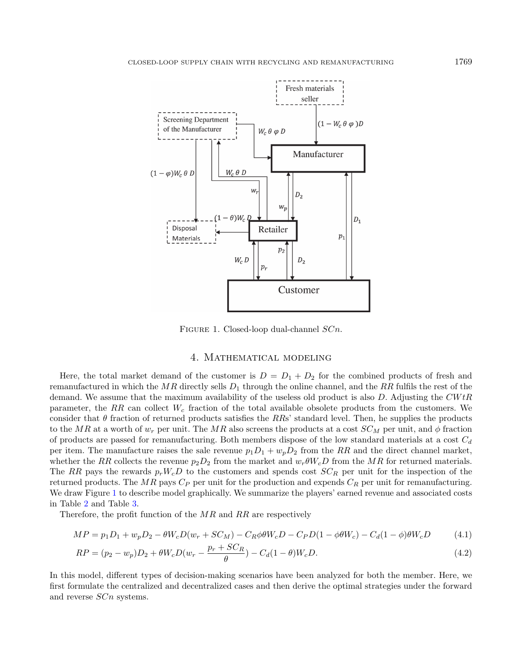

<span id="page-6-1"></span>FIGURE 1. Closed-loop dual-channel  $SCn$ .

# <span id="page-6-3"></span><span id="page-6-2"></span>4. Mathematical modeling

<span id="page-6-0"></span>Here, the total market demand of the customer is  $D = D_1 + D_2$  for the combined products of fresh and remanufactured in which the  $MR$  directly sells  $D_1$  through the online channel, and the RR fulfils the rest of the demand. We assume that the maximum availability of the useless old product is also  $D$ . Adjusting the  $C W t R$ parameter, the RR can collect  $W_c$  fraction of the total available obsolete products from the customers. We consider that  $\theta$  fraction of returned products satisfies the RRs' standard level. Then, he supplies the products to the MR at a worth of  $w_r$  per unit. The MR also screens the products at a cost  $SC_M$  per unit, and  $\phi$  fraction of products are passed for remanufacturing. Both members dispose of the low standard materials at a cost  $C_d$ per item. The manufacture raises the sale revenue  $p_1 D_1 + w_p D_2$  from the RR and the direct channel market, whether the RR collects the revenue  $p_2D_2$  from the market and  $w_r\theta W_cD$  from the MR for returned materials. The RR pays the rewards  $p_r W_c D$  to the customers and spends cost  $SC_R$  per unit for the inspection of the returned products. The MR pays  $C_P$  per unit for the production and expends  $C_R$  per unit for remanufacturing. We draw Figure [1](#page-6-1) to describe model graphically. We summarize the players' earned revenue and associated costs in Table [2](#page-7-0) and Table [3.](#page-7-1)

Therefore, the profit function of the  $MR$  and  $RR$  are respectively

$$
MP = p_1 D_1 + w_p D_2 - \theta W_c D(w_r + SC_M) - C_R \phi \theta W_c D - C_P D (1 - \phi \theta W_c) - C_d (1 - \phi) \theta W_c D \tag{4.1}
$$

$$
RP = (p_2 - w_p)D_2 + \theta W_c D(w_r - \frac{p_r + SC_R}{\theta}) - C_d (1 - \theta)W_c D.
$$
\n(4.2)

In this model, different types of decision-making scenarios have been analyzed for both the member. Here, we first formulate the centralized and decentralized cases and then derive the optimal strategies under the forward and reverse  $SCn$  systems.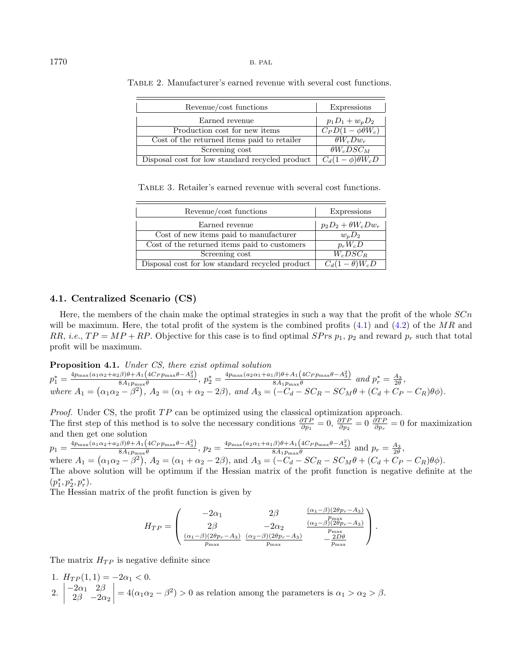| Revenue/cost functions                          | <b>Expressions</b>        |
|-------------------------------------------------|---------------------------|
| Earned revenue                                  | $p_1D_1 + w_pD_2$         |
| Production cost for new items                   | $C_P D(1-\phi\theta W_c)$ |
| Cost of the returned items paid to retailer     | $\theta W_c D w_r$        |
| Screening cost                                  | $\theta W_c DSC_M$        |
| Disposal cost for low standard recycled product | $C_d(1-\phi)\theta W_cD$  |

<span id="page-7-1"></span><span id="page-7-0"></span>Table 2. Manufacturer's earned revenue with several cost functions.

Table 3. Retailer's earned revenue with several cost functions.

| Revenue/cost functions                          | Expressions                    |
|-------------------------------------------------|--------------------------------|
| Earned revenue                                  | $p_2D_2+\theta W_cDw_r$        |
| Cost of new items paid to manufacturer          | $w_p D_2$                      |
| Cost of the returned items paid to customers    | $p_r W_c D$                    |
| Screening cost                                  | $W_c DSC_R$                    |
| Disposal cost for low standard recycled product | $\overline{C_d(1-\theta)W_c}D$ |

# 4.1. Centralized Scenario (CS)

Here, the members of the chain make the optimal strategies in such a way that the profit of the whole  $SCn$ will be maximum. Here, the total profit of the system is the combined profits  $(4.1)$  and  $(4.2)$  of the  $MR$  and RR, i.e.,  $TP = MP + RP$ . Objective for this case is to find optimal  $SPrs$   $p_1$ ,  $p_2$  and reward  $p_r$  such that total profit will be maximum.

# Proposition 4.1. Under CS, there exist optimal solution

$$
p_1^* = \frac{4p_{\max}(a_1\alpha_2 + a_2\beta)\theta + A_1(4C_Pp_{\max}\theta - A_3^2)}{8A_1p_{\max}\theta}, \ p_2^* = \frac{4p_{\max}(a_2\alpha_1 + a_1\beta)\theta + A_1(4C_Pp_{\max}\theta - A_3^2)}{8A_1p_{\max}\theta} \ \text{and} \ p_r^* = \frac{A_3}{2\theta},
$$
  
where  $A_1 = (\alpha_1\alpha_2 - \beta^2)$ ,  $A_2 = (\alpha_1 + \alpha_2 - 2\beta)$ , and  $A_3 = (-C_d - SC_R - SC_M\theta + (C_d + C_P - C_R)\theta\phi)$ .

*Proof.* Under CS, the profit  $TP$  can be optimized using the classical optimization approach. The first step of this method is to solve the necessary conditions  $\frac{\partial TP}{\partial p_1} = 0$ ,  $\frac{\partial TP}{\partial p_2} = 0$   $\frac{\partial TP}{\partial p_r} = 0$  for maximization and then get one solution

 $p_1 = \frac{4p_{\max}(a_1\alpha_2 + a_2\beta)\theta + A_1(4C_Pp_{\max}\theta - A_3^2)}{8A_1p_{\max}\theta}$  $\frac{d\beta\theta + A_1(4C_Pp_{\text{max}}\theta - A_3^2)}{8A_1p_{\text{max}}\theta}$ ,  $p_2 = \frac{4p_{\text{max}}(a_2\alpha_1 + a_1\beta)\theta + A_1(4C_Pp_{\text{max}}\theta - A_3^2)}{8A_1p_{\text{max}}\theta}$  $\frac{\beta}{\beta} \frac{\beta + A_1 (4C_P p_{\text{max}} \theta - A_3)}{8A_1 p_{\text{max}} \theta}$  and  $p_r = \frac{A_3}{2\theta}$ , where  $A_1 = (\alpha_1 \alpha_2 - \beta^2), A_2 = (\alpha_1 + \alpha_2 - 2\beta), \text{ and } A_3 = (-C_d - SC_R - SC_M\theta + (C_d + C_P - C_R)\theta\phi).$ The above solution will be optimum if the Hessian matrix of the profit function is negative definite at the  $(p_1^*, p_2^*, p_r^*).$ 

The Hessian matrix of the profit function is given by

$$
H_{TP} = \begin{pmatrix} -2\alpha_1 & 2\beta & \frac{(\alpha_1 - \beta)(2\theta p_r - A_3)}{p_{\max}} \\ 2\beta & -2\alpha_2 & \frac{(\alpha_2 - \beta)(2\theta p_r - A_3)}{p_{\max}} \\ \frac{(\alpha_1 - \beta)(2\theta p_r - A_3)}{p_{\max}} & \frac{(\alpha_2 - \beta)(2\theta p_r - A_3)}{p_{\max}} \end{pmatrix}.
$$

The matrix  $H_{TP}$  is negative definite since

1.  $H_{TP}(1, 1) = -2\alpha_1 < 0.$  $\begin{array}{|c|c|}\n2.\n\end{array}$  $-2\alpha_1$  2 $\beta$  $2\beta$  -2 $\alpha_2$ ⃒ ⃒ ⃒ ⃒  $= 4(\alpha_1\alpha_2 - \beta^2) > 0$  as relation among the parameters is  $\alpha_1 > \alpha_2 > \beta$ .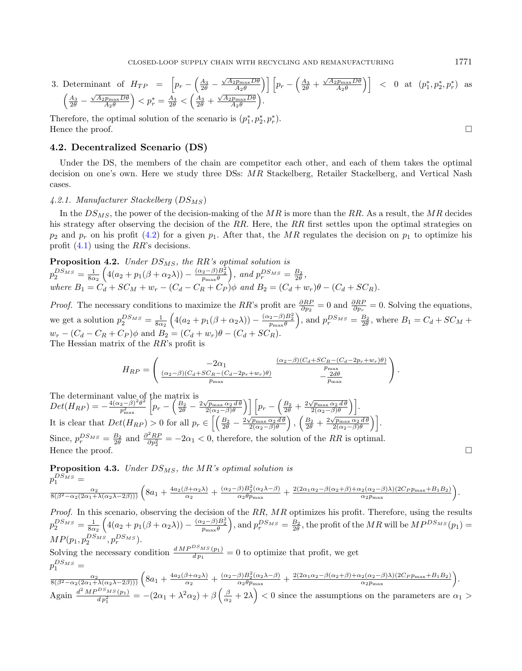3. Determinant of 
$$
H_{TP} = \left[ p_r - \left( \frac{A_3}{2\theta} - \frac{\sqrt{A_2 p_{\text{max}} D \theta}}{A_2 \theta} \right) \right] \left[ p_r - \left( \frac{A_3}{2\theta} + \frac{\sqrt{A_2 p_{\text{max}} D \theta}}{A_2 \theta} \right) \right] < 0
$$
 at  $(p_1^*, p_2^*, p_r^*)$  as  $\left( \frac{A_3}{2\theta} - \frac{\sqrt{A_2 p_{\text{max}} D \theta}}{A_2 \theta} \right) < p_r^* = \frac{A_3}{2\theta} < \left( \frac{A_3}{2\theta} + \frac{\sqrt{A_2 p_{\text{max}} D \theta}}{A_2 \theta} \right)$ .

<span id="page-8-0"></span>Therefore, the optimal solution of the scenario is  $(p_1^*, p_2^*, p_r^*)$ . Hence the proof.  $\Box$ 

# 4.2. Decentralized Scenario (DS)

Under the DS, the members of the chain are competitor each other, and each of them takes the optimal decision on one's own. Here we study three DSs:  $MR$  Stackelberg, Retailer Stackelberg, and Vertical Nash cases.

### 4.2.1. Manufacturer Stackelberg  $(DS_{MS})$

In the  $DS_{MS}$ , the power of the decision-making of the  $MR$  is more than the RR. As a result, the MR decides his strategy after observing the decision of the  $RR$ . Here, the  $RR$  first settles upon the optimal strategies on  $p_2$  and  $p_r$  on his profit [\(4.2\)](#page-6-3) for a given  $p_1$ . After that, the MR regulates the decision on  $p_1$  to optimize his profit  $(4.1)$  using the  $RR$ 's decisions.

**Proposition 4.2.** Under  $DS_{MS}$ , the RR's optimal solution is  $p_2^{DS_{MS}} = \frac{1}{8\alpha_2} \left( 4(a_2 + p_1(\beta + \alpha_2 \lambda)) - \frac{(\alpha_2 - \beta)B_2^2}{p_{\text{max}} \theta} \right)$ , and  $p_r^{DS_{MS}} = \frac{B_2}{2\theta}$ , where  $B_1 = C_d + SC_M + w_r - (C_d - C_R + C_P)\phi$  and  $B_2 = (C_d + w_r)\theta - (C_d + SC_R)$ .

*Proof.* The necessary conditions to maximize the RR's profit are  $\frac{\partial RP}{\partial p_2} = 0$  and  $\frac{\partial RP}{\partial p_r} = 0$ . Solving the equations, we get a solution  $p_2^{DS_{MS}} = \frac{1}{8\alpha_2} \left( 4(a_2 + p_1(\beta + \alpha_2 \lambda)) - \frac{(\alpha_2 - \beta)B_2^2}{p_{\text{max}} \theta} \right)$ , and  $p_r^{DS_{MS}} = \frac{B_2}{2\theta}$ , where  $B_1 = C_d + SC_M +$  $w_r - (C_d - C_R + C_P)\phi$  and  $B_2 = (C_d + w_r)\theta - (C_d + SC_R).$ The Hessian matrix of the  $RR$ 's profit is

$$
H_{RP} = \begin{pmatrix} -2\alpha_1 & \frac{(\alpha_2 - \beta)(C_d + SC_R - (C_d - 2p_r + w_r)\theta)}{p_{\text{max}}} \\ \frac{(\alpha_2 - \beta)(C_d + SC_R - (C_d - 2p_r + w_r)\theta)}{p_{\text{max}}} & -\frac{2d\theta}{p_{\text{max}}} \end{pmatrix}.
$$

The determinant value of the matrix is The determinant value of the matrix is<br>  $Det(H_{RP}) = -\frac{4(\alpha_2-\beta)^2\theta^2}{p_{\text{max}}^2} \left[ p_r - \left( \frac{B_2}{2\theta} - \frac{2\sqrt{p_{\text{max}}\alpha_2 d\theta}}{2(\alpha_2-\beta)\theta} \right) \right] \left[ p_r - \left( \frac{B_2}{2\theta} + \frac{2\sqrt{p_{\text{max}}\alpha_2 d\theta}}{2(\alpha_2-\beta)\theta} \right) \right].$ It is clear that  $Det(H_{RP}) > 0$  for all  $p_r \in \left[ \left( \frac{B_2}{2\theta} - \frac{2\sqrt{p_{\text{max}}\alpha_2 d\theta}}{2(\alpha_2 - \beta)\theta} \right), \left( \frac{B_2}{2\theta} + \frac{2\sqrt{p_{\text{max}}\alpha_2 d\theta}}{2(\alpha_2 - \beta)\theta} \right) \right].$ Since,  $p_r^{DS_{MS}} = \frac{B_2}{2\theta}$  and  $\frac{\partial^2 RP}{\partial p_2^2} = -2\alpha_1 < 0$ , therefore, the solution of the RR is optimal. Hence the proof.  $\Box$ 

**Proposition 4.3.** Under 
$$
DS_{MS}
$$
, the MR's optimal solution is  
\n
$$
p_1^{DS_{MS}} = \frac{\alpha_2}{8(\beta^2 - \alpha_2(2\alpha_1 + \lambda(\alpha_2 \lambda - 2\beta)))} \left(8a_1 + \frac{4a_2(\beta + \alpha_2 \lambda)}{\alpha_2} + \frac{(\alpha_2 - \beta)B_2^2(\alpha_2 \lambda - \beta)}{\alpha_2 \theta_{\text{max}}} + \frac{2(2\alpha_1 \alpha_2 - \beta(\alpha_2 + \beta) + \alpha_2(\alpha_2 - \beta)\lambda)(2C_P p_{\text{max}} + B_1 B_2)}{\alpha_2 p_{\text{max}}} \right).
$$

*Proof.* In this scenario, observing the decision of the  $RR$ ,  $MR$  optimizes his profit. Therefore, using the results  $p_2^{DS_{MS}} = \frac{1}{8\alpha_2} \left( 4(a_2+p_1(\beta+\alpha_2\lambda)) - \frac{(\alpha_2-\beta)B_2^2}{p_{\text{max}}\theta} \right)$ , and  $p_r^{DS_{MS}} = \frac{B_2}{2\theta}$ , the profit of the  $MR$  will be  $MP^{DS_{MS}}(p_1) =$  $MP(p_1, p_2^{DS_{MS}}, p_r^{DS_{MS}}).$ 

Solving the necessary condition  $\frac{dMP^{DS_{MS}}(p_1)}{dp_1} = 0$  to optimize that profit, we get  $p_1^{DS_{MS}} =$ 

$$
\frac{\alpha_2}{8(\beta^2-\alpha_2(2\alpha_1+\lambda(\alpha_2\lambda-2\beta)))}\left(8a_1+\frac{4a_2(\beta+\alpha_2\lambda)}{\alpha_2}+\frac{(\alpha_2-\beta)B_2^2(\alpha_2\lambda-\beta)}{\alpha_2\theta_{\text{max}}}+\frac{2(2\alpha_1\alpha_2-\beta(\alpha_2+\beta)+\alpha_2(\alpha_2-\beta)\lambda)(2C_Pp_{\text{max}}+B_1B_2)}{\alpha_2p_{\text{max}}}\right).
$$
  
Again 
$$
\frac{d^2MP^{DS_{MS}}(p_1)}{dp_1^2} = -(2\alpha_1+\lambda^2\alpha_2)+\beta\left(\frac{\beta}{\alpha_2}+2\lambda\right) < 0
$$
 since the assumptions on the parameters are  $\alpha_1 >$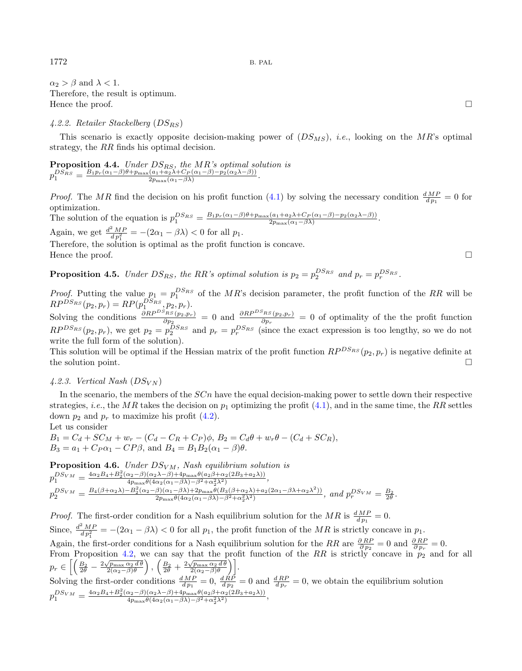$\alpha_2 > \beta$  and  $\lambda < 1$ . Therefore, the result is optimum. Hence the proof.  $\Box$ 

# 4.2.2. Retailer Stackelberg  $(DS_{RS})$

This scenario is exactly opposite decision-making power of  $(DS_{MS})$ , *i.e.*, looking on the  $MR$ 's optimal strategy, the  $RR$  finds his optimal decision.

**Proposition 4.4.** Under  $DS_{RS}$ , the  $MR$ 's optimal solution is  $p_1^{DS_{RS}} = \frac{B_1 p_r(\alpha_1-\beta)\theta + p_{\max}(a_1+a_2\lambda + C_P(\alpha_1-\beta)-p_2(\alpha_2\lambda-\beta))}{2p_{\max}(\alpha_1-\beta\lambda)}$  $\frac{(a_1+a_2\lambda+C_P(\alpha_1-\beta)-p_2(\alpha_2\lambda-\beta))}{2p_{\max}(\alpha_1-\beta\lambda)}.$ 

*Proof.* The MR find the decision on his profit function [\(4.1\)](#page-6-2) by solving the necessary condition  $\frac{dMP}{dp_1} = 0$  for optimization. The solution of the equation is  $p_1^{DS_{RS}} = \frac{B_1 p_r(\alpha_1 - \beta)\theta + p_{\max}(a_1 + a_2\lambda + C_P(\alpha_1 - \beta) - p_2(\alpha_2\lambda - \beta))}{2p_{\max}(\alpha_1 - \beta\lambda)}$ 

 $\frac{(a_1+a_2\lambda+C_P(\alpha_1-\beta)-p_2(\alpha_2\lambda-\beta))}{2p_{\max}(\alpha_1-\beta\lambda)}.$ Again, we get  $\frac{d^2 MP}{dp_1^2} = -(2\alpha_1 - \beta \lambda) < 0$  for all  $p_1$ . Therefore, the solution is optimal as the profit function is concave.

Hence the proof.  $\Box$ 

**Proposition 4.5.** Under  $DS_{RS}$ , the RR's optimal solution is  $p_2 = p_2^{DS_{RS}}$  and  $p_r = p_r^{DS_{RS}}$ .

*Proof.* Putting the value  $p_1 = p_1^{DS_{RS}}$  of the MR's decision parameter, the profit function of the RR will be  $RP^{DS_{RS}}(p_2, p_r) = RP(p_1^{DS_{RS}}, p_2, p_r).$ 

Solving the conditions  $\frac{\partial RP^{DS_{RS}}(p_2,p_r)}{\partial p_2} = 0$  and  $\frac{\partial RP^{DS_{RS}}(p_2,p_r)}{\partial p_r} = 0$  of optimality of the the profit function  $RP^{DS_{RS}}(p_2, p_r)$ , we get  $p_2 = p_2^{DS_{RS}}$  and  $p_r = p_r^{DS_{RS}}$  (since the exact expression is too lengthy, so we do not write the full form of the solution).

This solution will be optimal if the Hessian matrix of the profit function  $RP^{DS_{RS}}(p_2, p_r)$  is negative definite at the solution point.  $\square$ 

# 4.2.3. Vertical Nash  $(DS_{VN})$

In the scenario, the members of the  $SCn$  have the equal decision-making power to settle down their respective strategies, *i.e.*, the MR takes the decision on  $p_1$  optimizing the profit [\(4.1\)](#page-6-2), and in the same time, the RR settles down  $p_2$  and  $p_r$  to maximize his profit [\(4.2\)](#page-6-3).

Let us consider

 $B_1 = C_d + SC_M + w_r - (C_d - C_R + C_P)\phi, B_2 = C_d\theta + w_r\theta - (C_d + SC_R),$  $B_3 = a_1 + C_P \alpha_1 - C P \beta$ , and  $B_4 = B_1 B_2 (\alpha_1 - \beta) \theta$ .

**Proposition 4.6.** Under  $DS_{VM}$ , Nash equilibrium solution is  $p_1^{DS_{VM}} = \frac{4\alpha_2 B_4 + B_2^2(\alpha_2 - \beta)(\alpha_2 \lambda - \beta) + 4p_{\max}\theta(a_2\beta + \alpha_2(2B_3 + a_2\lambda))}{4p_{\max}\theta(4\alpha_2(\alpha_1 - \beta \lambda) - \beta^2 + \alpha_2^2\lambda^2)}$  $\frac{\mu_2-\beta(\alpha_2\lambda-\beta)+4p_{\max}\sigma(\alpha_2\beta+\alpha_2\lambda_2\lambda_3+a_2\lambda))}{4p_{\max}\theta(4\alpha_2(\alpha_1-\beta\lambda)-\beta^2+\alpha_2^2\lambda^2)},$  $p_2^{DS_{VM}} = \frac{B_4(\beta + \alpha_2\lambda) - B_2^2(\alpha_2 - \beta)(\alpha_1 - \beta\lambda) + 2p_{\max}\theta(B_3(\beta + \alpha_2\lambda) + a_2(2\alpha_1 - \beta\lambda + \alpha_2\lambda^2))}{2p_{\max}\theta(4\alpha_2(\alpha_1 - \beta\lambda) - \beta^2 + \alpha_2^2\lambda^2)}, \text{ and } p_r^{DS_{VM}} = \frac{B_2}{2\theta}.$ 

*Proof.* The first-order condition for a Nash equilibrium solution for the MR is  $\frac{dMP}{dp_1} = 0$ . Since,  $\frac{d^2MP}{dp_1^2} = -(2\alpha_1 - \beta\lambda) < 0$  for all  $p_1$ , the profit function of the MR is strictly concave in  $p_1$ . Again, the first-order conditions for a Nash equilibrium solution for the RR are  $\frac{\partial RP}{\partial p_2} = 0$  and  $\frac{\partial RP}{\partial p_r} = 0$ . From Proposition [4.2,](#page-8-0) we can say that the profit function of the RR is strictly concave in  $p_2$  and for all  $p_r \in \left[\left(\frac{B_2}{2\theta} - \frac{2\sqrt{p_{\max}}\alpha_2 d\theta}{2(\alpha_2 - \beta)\theta}\right), \left(\frac{B_2}{2\theta} + \frac{2\sqrt{p_{\max}}\alpha_2 d\theta}{2(\alpha_2 - \beta)\theta}\right)\right].$ Solving the first-order conditions  $\frac{dMP}{dp_1} = 0$ ,  $\frac{dRP}{dp_2} = 0$  and  $\frac{dRP}{dp_r} = 0$ , we obtain the equilibrium solution  $p_1^{DS_{VM}} = \frac{4\alpha_2 B_4 + B_2^2(\alpha_2 - \beta)(\alpha_2 \lambda - \beta) + 4p_{\max}\theta(a_2\beta + \alpha_2(2B_3 + a_2\lambda))}{4p_{\max}\theta(4\alpha_2(\alpha_1 - \beta \lambda) - \beta^2 + \alpha_2^2\lambda^2)}$  $\frac{\alpha_2-\beta(\alpha_2\lambda-\beta)+4p_{\max}\theta(a_2\beta+\alpha_2(2B_3+a_2\lambda))}{4p_{\max}\theta(4\alpha_2(\alpha_1-\beta\lambda)-\beta^2+\alpha_2^2\lambda^2)},$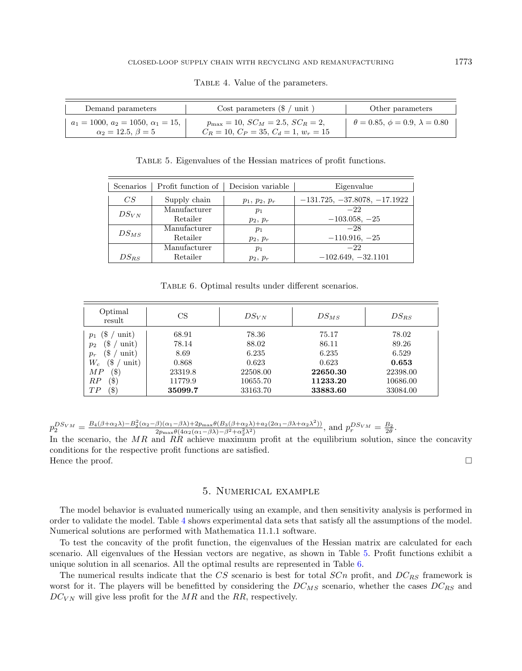| Demand parameters                                                          | Cost parameters $(\frac{1}{2})$ unit )                                                         | Other parameters                            |
|----------------------------------------------------------------------------|------------------------------------------------------------------------------------------------|---------------------------------------------|
| $a_1 = 1000, a_2 = 1050, \alpha_1 = 15,$<br>$\alpha_2 = 12.5, \ \beta = 5$ | $p_{\text{max}} = 10$ , $SC_M = 2.5$ , $SC_R = 2$ ,<br>$C_R = 10, C_P = 35, C_d = 1, w_r = 15$ | $\theta = 0.85, \phi = 0.9, \lambda = 0.80$ |

<span id="page-10-2"></span><span id="page-10-1"></span>TABLE 4. Value of the parameters.

<span id="page-10-3"></span>Table 5. Eigenvalues of the Hessian matrices of profit functions.

| Scenarios | Profit function of | Decision variable | Eigenvalue                     |
|-----------|--------------------|-------------------|--------------------------------|
| CS        | Supply chain       | $p_1, p_2, p_r$   | $-131.725, -37.8078, -17.1922$ |
| $DS_{VN}$ | Manufacturer       | $p_1$             | $-22$                          |
|           | Retailer           | $p_2, p_r$        | $-103.058, -25$                |
|           | Manufacturer       | $p_1$             | $-28$                          |
| $DS_{MS}$ | Retailer           | $p_2, p_r$        | $-110.916, -25$                |
|           | Manufacturer       | $p_1$             | $-22$                          |
| $DS_{RS}$ | Retailer           | $p_2, p_r$        | $-102.649, -32.1101$           |

Table 6. Optimal results under different scenarios.

| Optimal<br>result       | CS      | $DS_{VN}$ | $DS_{MS}$ | $DS_{RS}$ |
|-------------------------|---------|-----------|-----------|-----------|
| 3<br>unit)<br>$p_1$     | 68.91   | 78.36     | 75.17     | 78.02     |
| unit)<br>`\$<br>$p_2$   | 78.14   | 88.02     | 86.11     | 89.26     |
| S<br>unit)<br>$p_r$     | 8.69    | 6.235     | 6.235     | 6.529     |
| ′\$<br>$W_{c}$<br>unit) | 0.868   | 0.623     | 0.623     | 0.653     |
| (\$)<br>MP              | 23319.8 | 22508.00  | 22650.30  | 22398.00  |
| $(\$)$<br>RP            | 11779.9 | 10655.70  | 11233.20  | 10686.00  |
| (\$)<br>TP              | 35099.7 | 33163.70  | 33883.60  | 33084.00  |

 $p_2^{DS_{VM}} = \frac{B_4(\beta + \alpha_2 \lambda) - B_2^2(\alpha_2 - \beta)(\alpha_1 - \beta \lambda) + 2p_{\max} \theta(B_3(\beta + \alpha_2 \lambda) + a_2(2\alpha_1 - \beta \lambda + \alpha_2 \lambda^2))}{2p_{\max} \theta(4\alpha_2(\alpha_1 - \beta \lambda) - \beta^2 + \alpha_2^2 \lambda^2)}, \text{ and } p_r^{DS_{VM}} = \frac{B_2}{2\theta}.$ 

In the scenario, the  $MR$  and  $RR$  achieve maximum profit at the equilibrium solution, since the concavity conditions for the respective profit functions are satisfied. Hence the proof.  $\Box$ 

# 5. Numerical example

<span id="page-10-0"></span>The model behavior is evaluated numerically using an example, and then sensitivity analysis is performed in order to validate the model. Table [4](#page-10-1) shows experimental data sets that satisfy all the assumptions of the model. Numerical solutions are performed with Mathematica 11.1.1 software.

To test the concavity of the profit function, the eigenvalues of the Hessian matrix are calculated for each scenario. All eigenvalues of the Hessian vectors are negative, as shown in Table [5.](#page-10-2) Profit functions exhibit a unique solution in all scenarios. All the optimal results are represented in Table [6.](#page-10-3)

The numerical results indicate that the  $CS$  scenario is best for total  $SCn$  profit, and  $DC_{RS}$  framework is worst for it. The players will be benefitted by considering the  $DC_{MS}$  scenario, whether the cases  $DC_{RS}$  and  $DC_{VN}$  will give less profit for the  $MR$  and the RR, respectively.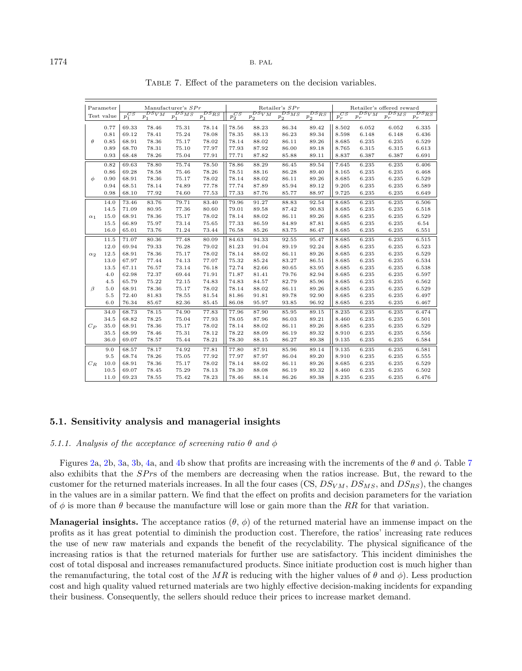|            | Parameter  |            |                         | Manufacturer's $SPr$  |                       |            |                           | Retailer's $SPr$                  |                       |            | Retailer's offered reward |                 |                     |
|------------|------------|------------|-------------------------|-----------------------|-----------------------|------------|---------------------------|-----------------------------------|-----------------------|------------|---------------------------|-----------------|---------------------|
|            | Test value | $p_1^{CS}$ | $_{DS_{VM}}$<br>$p_{1}$ | $v_{S_{MS}}$<br>$p_1$ | $^{DS}$ RS<br>$p_{1}$ | $p_2^{CS}$ | $DS_{VM}$<br>$p_{\Omega}$ | $v_{S_{MS}}$<br>$p_{\mathcal{D}}$ | $^{DS}_{RS}$<br>$p_2$ | $p_r^{CS}$ | $DS_{VM}$<br>$p_{r}$      | $p_r^{DS_{MS}}$ | $^{DS}$ RS<br>$p_T$ |
|            | 0.77       | 69.33      | 78.46                   | 75.31                 | 78.14                 | 78.56      | 88.23                     | 86.34                             | 89.42                 | 8.502      | 6.052                     | 6.052           | 6.335               |
|            | 0.81       | 69.12      | 78.41                   | 75.24                 | 78.08                 | 78.35      | 88.13                     | 86.23                             | 89.34                 | 8.598      | 6.148                     | 6.148           | 6.436               |
| $\theta$   | 0.85       | 68.91      | 78.36                   | 75.17                 | 78.02                 | 78.14      | 88.02                     | 86.11                             | 89.26                 | 8.685      | 6.235                     | 6.235           | 6.529               |
|            | 0.89       | 68.70      | 78.31                   | 75.10                 | 77.97                 | 77.93      | 87.92                     | 86.00                             | 89.18                 | 8.765      | 6.315                     | 6.315           | 6.613               |
|            | 0.93       | 68.48      | 78.26                   | 75.04                 | 77.91                 | 77.71      | 87.82                     | 85.88                             | 89.11                 | 8.837      | 6.387                     | 6.387           | 6.691               |
|            | 0.82       | 69.63      | 78.80                   | 75.74                 | 78.50                 | 78.86      | 88.29                     | 86.45                             | 89.54                 | 7.645      | 6.235                     | 6.235           | 6.406               |
|            | 0.86       | 69.28      | 78.58                   | 75.46                 | 78.26                 | 78.51      | 88.16                     | 86.28                             | 89.40                 | 8.165      | 6.235                     | 6.235           | 6.468               |
| φ          | 0.90       | 68.91      | 78.36                   | 75.17                 | 78.02                 | 78.14      | 88.02                     | 86.11                             | 89.26                 | 8.685      | 6.235                     | 6.235           | 6.529               |
|            | 0.94       | 68.51      | 78.14                   | 74.89                 | 77.78                 | 77.74      | 87.89                     | 85.94                             | 89.12                 | 9.205      | 6.235                     | 6.235           | 6.589               |
|            | 0.98       | 68.10      | 77.92                   | 74.60                 | 77.53                 | 77.33      | 87.76                     | 85.77                             | 88.97                 | 9.725      | 6.235                     | 6.235           | 6.649               |
|            | 14.0       | 73.46      | 83.76                   | 79.71                 | 83.40                 | 79.96      | 91.27                     | 88.83                             | 92.54                 | 8.685      | 6.235                     | 6.235           | 6.506               |
|            | 14.5       | 71.09      | 80.95                   | 77.36                 | 80.60                 | 79.01      | 89.58                     | 87.42                             | 90.83                 | 8.685      | 6.235                     | 6.235           | 6.518               |
| $\alpha_1$ | 15.0       | 68.91      | 78.36                   | 75.17                 | 78.02                 | 78.14      | 88.02                     | 86.11                             | 89.26                 | 8.685      | 6.235                     | 6.235           | 6.529               |
|            | 15.5       | 66.89      | 75.97                   | 73.14                 | 75.65                 | 77.33      | 86.59                     | 84.89                             | 87.81                 | 8.685      | 6.235                     | 6.235           | 6.54                |
|            | 16.0       | 65.01      | 73.76                   | 71.24                 | 73.44                 | 76.58      | 85.26                     | 83.75                             | 86.47                 | 8.685      | 6.235                     | 6.235           | 6.551               |
|            | 11.5       | 71.07      | 80.36                   | 77.48                 | 80.09                 | 84.63      | 94.33                     | 92.55                             | 95.47                 | 8.685      | 6.235                     | 6.235           | 6.515               |
|            | 12.0       | 69.94      | 79.33                   | 76.28                 | 79.02                 | 81.23      | 91.04                     | 89.19                             | 92.24                 | 8.685      | 6.235                     | 6.235           | 6.523               |
| $\alpha_2$ | 12.5       | 68.91      | 78.36                   | 75.17                 | 78.02                 | 78.14      | 88.02                     | 86.11                             | 89.26                 | 8.685      | 6.235                     | 6.235           | 6.529               |
|            | 13.0       | 67.97      | 77.44                   | 74.13                 | 77.07                 | 75.32      | 85.24                     | 83.27                             | 86.51                 | 8.685      | 6.235                     | 6.235           | 6.534               |
|            | 13.5       | 67.11      | 76.57                   | 73.14                 | 76.18                 | 72.74      | 82.66                     | 80.65                             | 83.95                 | 8.685      | 6.235                     | 6.235           | 6.538               |
|            | 4.0        | 62.98      | 72.37                   | 69.44                 | 71.91                 | 71.87      | 81.41                     | 79.76                             | 82.94                 | 8.685      | 6.235                     | 6.235           | 6.597               |
|            | 4.5        | 65.79      | 75.22                   | 72.15                 | 74.83                 | 74.83      | 84.57                     | 82.79                             | 85.96                 | 8.685      | 6.235                     | 6.235           | 6.562               |
| $\beta$    | 5.0        | 68.91      | 78.36                   | 75.17                 | 78.02                 | 78.14      | 88.02                     | 86.11                             | 89.26                 | 8.685      | 6.235                     | 6.235           | 6.529               |
|            | 5.5        | 72.40      | 81.83                   | 78.55                 | 81.54                 | 81.86      | 91.81                     | 89.78                             | 92.90                 | 8.685      | 6.235                     | 6.235           | 6.497               |
|            | 6.0        | 76.34      | 85.67                   | 82.36                 | 85.45                 | 86.08      | 95.97                     | 93.85                             | 96.92                 | 8.685      | 6.235                     | 6.235           | 6.467               |
|            | 34.0       | 68.73      | 78.15                   | 74.90                 | 77.83                 | 77.96      | 87.90                     | 85.95                             | 89.15                 | 8.235      | 6.235                     | 6.235           | 6.474               |
|            | 34.5       | 68.82      | 78.25                   | 75.04                 | 77.93                 | 78.05      | 87.96                     | 86.03                             | 89.21                 | 8.460      | 6.235                     | 6.235           | 6.501               |
| $C_P$      | 35.0       | 68.91      | 78.36                   | 75.17                 | 78.02                 | 78.14      | 88.02                     | 86.11                             | 89.26                 | 8.685      | 6.235                     | 6.235           | 6.529               |
|            | 35.5       | 68.99      | 78.46                   | 75.31                 | 78.12                 | 78.22      | 88.09                     | 86.19                             | 89.32                 | 8.910      | 6.235                     | 6.235           | 6.556               |
|            | 36.0       | 69.07      | 78.57                   | 75.44                 | 78.21                 | 78.30      | 88.15                     | 86.27                             | 89.38                 | 9.135      | 6.235                     | 6.235           | 6.584               |
|            | 9.0        | 68.57      | 78.17                   | 74.92                 | 77.81                 | 77.80      | 87.91                     | 85.96                             | 89.14                 | 9.135      | 6.235                     | 6.235           | 6.581               |
|            | 9.5        | 68.74      | 78.26                   | 75.05                 | 77.92                 | 77.97      | 87.97                     | 86.04                             | 89.20                 | 8.910      | 6.235                     | 6.235           | 6.555               |
| $C_R$      | 10.0       | 68.91      | 78.36                   | 75.17                 | 78.02                 | 78.14      | 88.02                     | 86.11                             | 89.26                 | 8.685      | 6.235                     | 6.235           | 6.529               |
|            | 10.5       | 69.07      | 78.45                   | 75.29                 | 78.13                 | 78.30      | 88.08                     | 86.19                             | 89.32                 | 8.460      | 6.235                     | 6.235           | 6.502               |
|            | 11.0       | 69.23      | 78.55                   | 75.42                 | 78.23                 | 78.46      | 88.14                     | 86.26                             | 89.38                 | 8.235      | 6.235                     | 6.235           | 6.476               |

<span id="page-11-0"></span>Table 7. Effect of the parameters on the decision variables.

# 5.1. Sensitivity analysis and managerial insights

# 5.1.1. Analysis of the acceptance of screening ratio  $\theta$  and  $\phi$

Figures [2a](#page-12-0), [2b](#page-12-0), [3a](#page-13-0), [3b](#page-13-0), [4a](#page-14-1), and [4b](#page-14-1) show that profits are increasing with the increments of the  $\theta$  and  $\phi$ . Table [7](#page-11-0) also exhibits that the  $SPrs$  of the members are decreasing when the ratios increase. But, the reward to the customer for the returned materials increases. In all the four cases (CS,  $DS_{VM}$ ,  $DS_{MS}$ , and  $DS_{RS}$ ), the changes in the values are in a similar pattern. We find that the effect on profits and decision parameters for the variation of  $\phi$  is more than  $\theta$  because the manufacture will lose or gain more than the RR for that variation.

**Managerial insights.** The acceptance ratios  $(\theta, \phi)$  of the returned material have an immense impact on the profits as it has great potential to diminish the production cost. Therefore, the ratios' increasing rate reduces the use of new raw materials and expands the benefit of the recyclability. The physical significance of the increasing ratios is that the returned materials for further use are satisfactory. This incident diminishes the cost of total disposal and increases remanufactured products. Since initiate production cost is much higher than the remanufacturing, the total cost of the MR is reducing with the higher values of  $\theta$  and  $\phi$ ). Less production cost and high quality valued returned materials are two highly effective decision-making incidents for expanding their business. Consequently, the sellers should reduce their prices to increase market demand.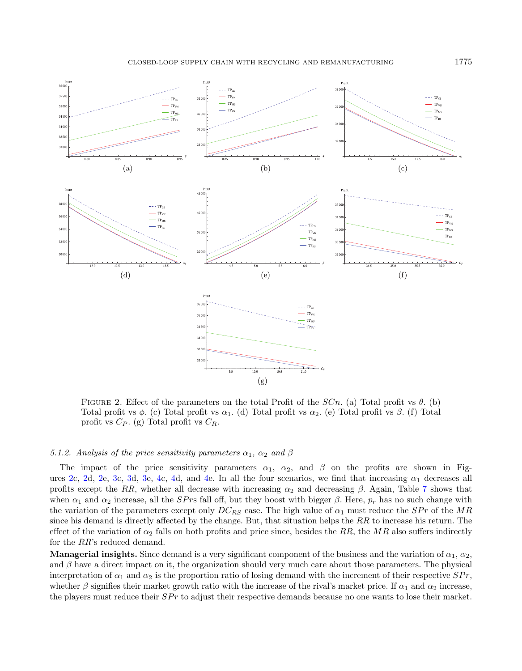CLOSED-LOOP SUPPLY CHAIN WITH RECYCLING AND REMANUFACTURING 1775



<span id="page-12-0"></span>FIGURE 2. Effect of the parameters on the total Profit of the  $SCn$ . (a) Total profit vs  $\theta$ . (b) Total profit vs  $\phi$ . (c) Total profit vs  $\alpha_1$ . (d) Total profit vs  $\alpha_2$ . (e) Total profit vs  $\beta$ . (f) Total profit vs  $C_P$ . (g) Total profit vs  $C_R$ .

#### 5.1.2. Analysis of the price sensitivity parameters  $\alpha_1$ ,  $\alpha_2$  and  $\beta$

The impact of the price sensitivity parameters  $\alpha_1$ ,  $\alpha_2$ , and  $\beta$  on the profits are shown in Fig-ures [2c](#page-12-0), [2d](#page-12-0), [2e](#page-12-0), [3c](#page-13-0), [3d](#page-13-0), [3e](#page-13-0), [4c](#page-14-1), [4d](#page-14-1), and [4e](#page-14-1). In all the four scenarios, we find that increasing  $\alpha_1$  decreases all profits except the RR, whether all decrease with increasing  $\alpha_2$  and decreasing  $\beta$ . Again, Table [7](#page-11-0) shows that when  $\alpha_1$  and  $\alpha_2$  increase, all the *SPrs* fall off, but they boost with bigger  $\beta$ . Here,  $p_r$  has no such change with the variation of the parameters except only  $DC_{RS}$  case. The high value of  $\alpha_1$  must reduce the  $SPr$  of the MR since his demand is directly affected by the change. But, that situation helps the  $RR$  to increase his return. The effect of the variation of  $\alpha_2$  falls on both profits and price since, besides the RR, the MR also suffers indirectly for the  $RR$ s reduced demand.

**Managerial insights.** Since demand is a very significant component of the business and the variation of  $\alpha_1, \alpha_2$ , and  $\beta$  have a direct impact on it, the organization should very much care about those parameters. The physical interpretation of  $\alpha_1$  and  $\alpha_2$  is the proportion ratio of losing demand with the increment of their respective  $SPr$ , whether  $\beta$  signifies their market growth ratio with the increase of the rival's market price. If  $\alpha_1$  and  $\alpha_2$  increase, the players must reduce their  $SPr$  to adjust their respective demands because no one wants to lose their market.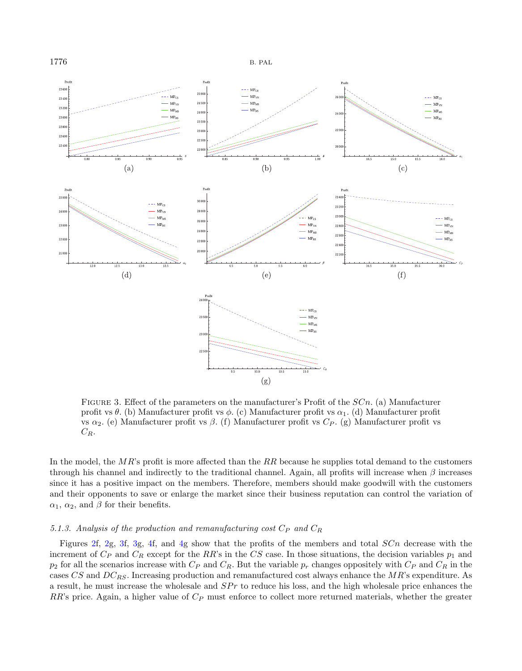

<span id="page-13-0"></span>FIGURE 3. Effect of the parameters on the manufacturer's Profit of the  $SCn$ . (a) Manufacturer profit vs  $\theta$ . (b) Manufacturer profit vs  $\phi$ . (c) Manufacturer profit vs  $\alpha_1$ . (d) Manufacturer profit vs  $\alpha_2$ . (e) Manufacturer profit vs  $\beta$ . (f) Manufacturer profit vs  $C_P$ . (g) Manufacturer profit vs  $C_R$ .

In the model, the  $MR$ 's profit is more affected than the  $RR$  because he supplies total demand to the customers through his channel and indirectly to the traditional channel. Again, all profits will increase when  $\beta$  increases since it has a positive impact on the members. Therefore, members should make goodwill with the customers and their opponents to save or enlarge the market since their business reputation can control the variation of  $\alpha_1$ ,  $\alpha_2$ , and  $\beta$  for their benefits.

# 5.1.3. Analysis of the production and remanufacturing cost  $C_P$  and  $C_R$

Figures [2f](#page-12-0), [2g](#page-12-0), [3f](#page-13-0), [3g](#page-13-0), [4f](#page-14-1), and [4g](#page-14-1) show that the profits of the members and total  $SCn$  decrease with the increment of  $C_P$  and  $C_R$  except for the RR's in the CS case. In those situations, the decision variables  $p_1$  and  $p_2$  for all the scenarios increase with  $C_P$  and  $C_R$ . But the variable  $p_r$  changes oppositely with  $C_P$  and  $C_R$  in the cases  $CS$  and  $DC_{RS}$ . Increasing production and remanufactured cost always enhance the  $MR$ 's expenditure. As a result, he must increase the wholesale and  $SPr$  to reduce his loss, and the high wholesale price enhances the  $RR$ 's price. Again, a higher value of  $C_P$  must enforce to collect more returned materials, whether the greater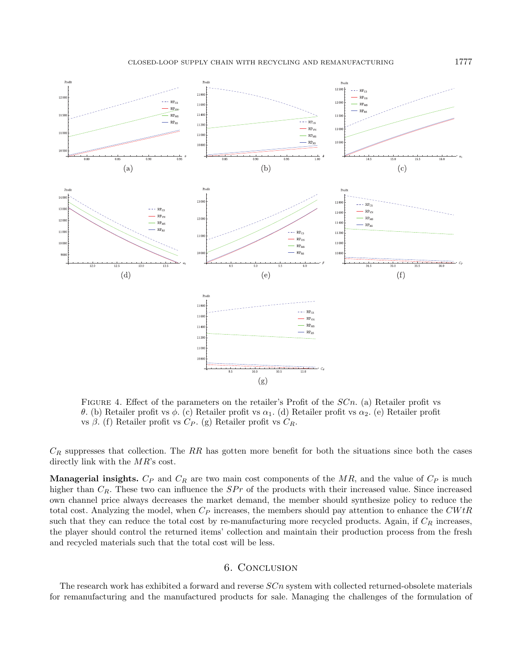

<span id="page-14-1"></span>FIGURE 4. Effect of the parameters on the retailer's Profit of the  $SCn$ . (a) Retailer profit vs  $\theta$ . (b) Retailer profit vs  $\phi$ . (c) Retailer profit vs  $\alpha_1$ . (d) Retailer profit vs  $\alpha_2$ . (e) Retailer profit vs  $\beta$ . (f) Retailer profit vs  $C_P$ . (g) Retailer profit vs  $C_R$ .

 $C_R$  suppresses that collection. The RR has gotten more benefit for both the situations since both the cases directly link with the  $MR$ 's cost.

**Managerial insights.**  $C_P$  and  $C_R$  are two main cost components of the  $MR$ , and the value of  $C_P$  is much higher than  $C_R$ . These two can influence the  $SPr$  of the products with their increased value. Since increased own channel price always decreases the market demand, the member should synthesize policy to reduce the total cost. Analyzing the model, when  $C_P$  increases, the members should pay attention to enhance the  $CWL$ such that they can reduce the total cost by re-manufacturing more recycled products. Again, if  $C_R$  increases, the player should control the returned items' collection and maintain their production process from the fresh and recycled materials such that the total cost will be less.

# 6. Conclusion

<span id="page-14-0"></span>The research work has exhibited a forward and reverse  $S C n$  system with collected returned-obsolete materials for remanufacturing and the manufactured products for sale. Managing the challenges of the formulation of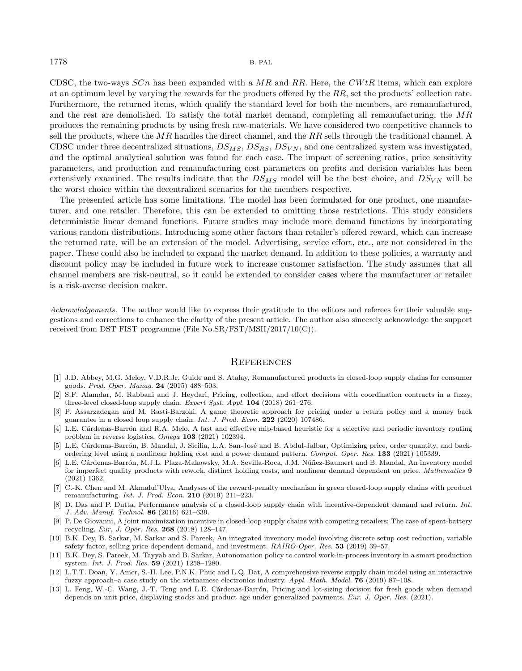CDSC, the two-ways  $SCn$  has been expanded with a  $MR$  and RR. Here, the  $CWtR$  items, which can explore at an optimum level by varying the rewards for the products offered by the  $RR$ , set the products' collection rate. Furthermore, the returned items, which qualify the standard level for both the members, are remanufactured, and the rest are demolished. To satisfy the total market demand, completing all remanufacturing, the  $MR$ produces the remaining products by using fresh raw-materials. We have considered two competitive channels to sell the products, where the  $MR$  handles the direct channel, and the  $RR$  sells through the traditional channel. A CDSC under three decentralized situations,  $DS_{MS}$ ,  $DS_{RS}$ ,  $DS_{VN}$ , and one centralized system was investigated, and the optimal analytical solution was found for each case. The impact of screening ratios, price sensitivity parameters, and production and remanufacturing cost parameters on profits and decision variables has been extensively examined. The results indicate that the  $DS_{MS}$  model will be the best choice, and  $DS_{VN}$  will be the worst choice within the decentralized scenarios for the members respective.

<span id="page-15-4"></span>The presented article has some limitations. The model has been formulated for one product, one manufacturer, and one retailer. Therefore, this can be extended to omitting those restrictions. This study considers deterministic linear demand functions. Future studies may include more demand functions by incorporating various random distributions. Introducing some other factors than retailer's offered reward, which can increase the returned rate, will be an extension of the model. Advertising, service effort, etc., are not considered in the paper. These could also be included to expand the market demand. In addition to these policies, a warranty and discount policy may be included in future work to increase customer satisfaction. The study assumes that all channel members are risk-neutral, so it could be extended to consider cases where the manufacturer or retailer is a risk-averse decision maker.

<span id="page-15-8"></span><span id="page-15-7"></span><span id="page-15-6"></span><span id="page-15-2"></span>Acknowledgements. The author would like to express their gratitude to the editors and referees for their valuable suggestions and corrections to enhance the clarity of the present article. The author also sincerely acknowledge the support received from DST FIST programme (File No.SR/FST/MSII/2017/10(C)).

### **REFERENCES**

- <span id="page-15-5"></span><span id="page-15-3"></span>[1] J.D. Abbey, M.G. Meloy, V.D.R.Jr. Guide and S. Atalay, Remanufactured products in closed-loop supply chains for consumer goods. Prod. Oper. Manag. 24 (2015) 488–503.
- <span id="page-15-0"></span>[2] S.F. Alamdar, M. Rabbani and J. Heydari, Pricing, collection, and effort decisions with coordination contracts in a fuzzy, three-level closed-loop supply chain. Expert Syst. Appl. 104 (2018) 261–276.
- <span id="page-15-9"></span>[3] P. Assarzadegan and M. Rasti-Barzoki, A game theoretic approach for pricing under a return policy and a money back guarantee in a closed loop supply chain. Int. J. Prod. Econ. 222 (2020) 107486.
- <span id="page-15-10"></span>[4] L.E. Cárdenas-Barrón and R.A. Melo, A fast and effective mip-based heuristic for a selective and periodic inventory routing problem in reverse logistics. Omega 103 (2021) 102394.
- <span id="page-15-1"></span>[5] L.E. Cárdenas-Barrón, B. Mandal, J. Sicilia, L.A. San-José and B. Abdul-Jalbar, Optimizing price, order quantity, and backordering level using a nonlinear holding cost and a power demand pattern. Comput. Oper. Res. 133 (2021) 105339.
- <span id="page-15-11"></span>[6] L.E. Cárdenas-Barrón, M.J.L. Plaza-Makowsky, M.A. Sevilla-Roca, J.M. Núñez-Baumert and B. Mandal, An inventory model for imperfect quality products with rework, distinct holding costs, and nonlinear demand dependent on price. Mathematics 9 (2021) 1362.
- [7] C.-K. Chen and M. Akmalul'Ulya, Analyses of the reward-penalty mechanism in green closed-loop supply chains with product remanufacturing. Int. J. Prod. Econ. 210 (2019) 211–223.
- [8] D. Das and P. Dutta, Performance analysis of a closed-loop supply chain with incentive-dependent demand and return. Int. J. Adv. Manuf. Technol. 86 (2016) 621–639.
- [9] P. De Giovanni, A joint maximization incentive in closed-loop supply chains with competing retailers: The case of spent-battery recycling. Eur. J. Oper. Res. 268 (2018) 128–147.
- [10] B.K. Dey, B. Sarkar, M. Sarkar and S. Pareek, An integrated inventory model involving discrete setup cost reduction, variable safety factor, selling price dependent demand, and investment. RAIRO-Oper. Res. 53 (2019) 39–57.
- [11] B.K. Dey, S. Pareek, M. Tayyab and B. Sarkar, Autonomation policy to control work-in-process inventory in a smart production system. Int. J. Prod. Res. 59 (2021) 1258–1280.
- [12] L.T.T. Doan, Y. Amer, S.-H. Lee, P.N.K. Phuc and L.Q. Dat, A comprehensive reverse supply chain model using an interactive fuzzy approach–a case study on the vietnamese electronics industry. Appl. Math. Model. 76 (2019) 87–108.
- [13] L. Feng, W.-C. Wang, J.-T. Teng and L.E. Cárdenas-Barrón, Pricing and lot-sizing decision for fresh goods when demand depends on unit price, displaying stocks and product age under generalized payments. Eur. J. Oper. Res. (2021).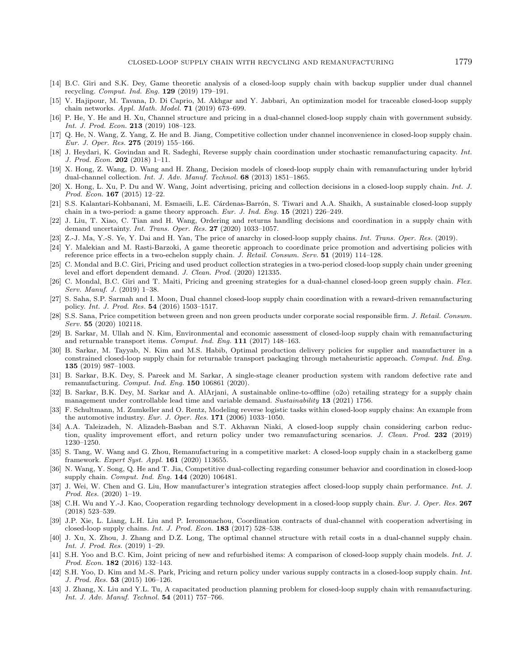- <span id="page-16-24"></span><span id="page-16-20"></span><span id="page-16-18"></span><span id="page-16-16"></span><span id="page-16-12"></span><span id="page-16-11"></span><span id="page-16-5"></span><span id="page-16-2"></span>[14] B.C. Giri and S.K. Dey, Game theoretic analysis of a closed-loop supply chain with backup supplier under dual channel recycling. Comput. Ind. Eng. 129 (2019) 179–191.
- <span id="page-16-23"></span>[15] V. Hajipour, M. Tavana, D. Di Caprio, M. Akhgar and Y. Jabbari, An optimization model for traceable closed-loop supply chain networks. Appl. Math. Model. 71 (2019) 673–699.
- <span id="page-16-27"></span><span id="page-16-19"></span>[16] P. He, Y. He and H. Xu, Channel structure and pricing in a dual-channel closed-loop supply chain with government subsidy. Int. J. Prod. Econ. 213 (2019) 108–123.
- <span id="page-16-22"></span>[17] Q. He, N. Wang, Z. Yang, Z. He and B. Jiang, Competitive collection under channel inconvenience in closed-loop supply chain. Eur. J. Oper. Res. 275 (2019) 155–166.
- <span id="page-16-14"></span>[18] J. Heydari, K. Govindan and R. Sadeghi, Reverse supply chain coordination under stochastic remanufacturing capacity. Int. J. Prod. Econ. 202 (2018) 1–11.
- <span id="page-16-7"></span>[19] X. Hong, Z. Wang, D. Wang and H. Zhang, Decision models of closed-loop supply chain with remanufacturing under hybrid dual-channel collection. Int. J. Adv. Manuf. Technol. 68 (2013) 1851–1865.
- <span id="page-16-1"></span>[20] X. Hong, L. Xu, P. Du and W. Wang, Joint advertising, pricing and collection decisions in a closed-loop supply chain. Int. J. Prod. Econ. 167 (2015) 12–22.
- <span id="page-16-9"></span>[21] S.S. Kalantari-Kohbanani, M. Esmaeili, L.E. Cárdenas-Barrón, S. Tiwari and A.A. Shaikh, A sustainable closed-loop supply chain in a two-period: a game theory approach. Eur. J. Ind. Eng. 15 (2021) 226–249.
- <span id="page-16-25"></span>[22] J. Liu, T. Xiao, C. Tian and H. Wang, Ordering and returns handling decisions and coordination in a supply chain with demand uncertainty. Int. Trans. Oper. Res. 27 (2020) 1033–1057.
- [23] Z.-J. Ma, Y.-S. Ye, Y. Dai and H. Yan, The price of anarchy in closed-loop supply chains. Int. Trans. Oper. Res. (2019).
- [24] Y. Malekian and M. Rasti-Barzoki, A game theoretic approach to coordinate price promotion and advertising policies with reference price effects in a two-echelon supply chain. J. Retail. Consum. Serv. 51 (2019) 114–128.
- <span id="page-16-26"></span>[25] C. Mondal and B.C. Giri, Pricing and used product collection strategies in a two-period closed-loop supply chain under greening level and effort dependent demand. J. Clean. Prod. (2020) 121335.
- <span id="page-16-3"></span>[26] C. Mondal, B.C. Giri and T. Maiti, Pricing and greening strategies for a dual-channel closed-loop green supply chain. Flex. Serv. Manuf. J. (2019) 1–38.
- <span id="page-16-21"></span>[27] S. Saha, S.P. Sarmah and I. Moon, Dual channel closed-loop supply chain coordination with a reward-driven remanufacturing policy. Int. J. Prod. Res. 54 (2016) 1503–1517.
- [28] S.S. Sana, Price competition between green and non green products under corporate social responsible firm. J. Retail. Consum. Serv. 55 (2020) 102118.
- <span id="page-16-28"></span>[29] B. Sarkar, M. Ullah and N. Kim, Environmental and economic assessment of closed-loop supply chain with remanufacturing and returnable transport items. Comput. Ind. Eng. 111 (2017) 148–163.
- <span id="page-16-17"></span><span id="page-16-13"></span>[30] B. Sarkar, M. Tayyab, N. Kim and M.S. Habib, Optimal production delivery policies for supplier and manufacturer in a constrained closed-loop supply chain for returnable transport packaging through metaheuristic approach. Comput. Ind. Eng. 135 (2019) 987–1003.
- <span id="page-16-10"></span>[31] B. Sarkar, B.K. Dey, S. Pareek and M. Sarkar, A single-stage cleaner production system with random defective rate and remanufacturing. Comput. Ind. Eng. 150 106861 (2020).
- <span id="page-16-0"></span>[32] B. Sarkar, B.K. Dey, M. Sarkar and A. AlArjani, A sustainable online-to-offline (o2o) retailing strategy for a supply chain management under controllable lead time and variable demand. Sustainability 13 (2021) 1756.
- <span id="page-16-15"></span>[33] F. Schultmann, M. Zumkeller and O. Rentz, Modeling reverse logistic tasks within closed-loop supply chains: An example from the automotive industry. Eur. J. Oper. Res. 171 (2006) 1033–1050.
- <span id="page-16-8"></span>[34] A.A. Taleizadeh, N. Alizadeh-Basban and S.T. Akhavan Niaki, A closed-loop supply chain considering carbon reduction, quality improvement effort, and return policy under two remanufacturing scenarios. J. Clean. Prod. 232 (2019) 1230–1250.
- <span id="page-16-6"></span>[35] S. Tang, W. Wang and G. Zhou, Remanufacturing in a competitive market: A closed-loop supply chain in a stackelberg game framework. Expert Syst. Appl. 161 (2020) 113655.
- <span id="page-16-4"></span>[36] N. Wang, Y. Song, Q. He and T. Jia, Competitive dual-collecting regarding consumer behavior and coordination in closed-loop supply chain. Comput. Ind. Eng. 144 (2020) 106481.
- [37] J. Wei, W. Chen and G. Liu, How manufacturer's integration strategies affect closed-loop supply chain performance. Int. J. Prod. Res. (2020) 1–19.
- [38] C.H. Wu and Y.-J. Kao, Cooperation regarding technology development in a closed-loop supply chain. Eur. J. Oper. Res. 267 (2018) 523–539.
- [39] J.P. Xie, L. Liang, L.H. Liu and P. Ieromonachou, Coordination contracts of dual-channel with cooperation advertising in closed-loop supply chains. Int. J. Prod. Econ. 183 (2017) 528–538.
- [40] J. Xu, X. Zhou, J. Zhang and D.Z. Long, The optimal channel structure with retail costs in a dual-channel supply chain. Int. J. Prod. Res. (2019) 1–29.
- [41] S.H. Yoo and B.C. Kim, Joint pricing of new and refurbished items: A comparison of closed-loop supply chain models. Int. J. Prod. Econ. **182** (2016) 132-143.
- [42] S.H. Yoo, D. Kim and M.-S. Park, Pricing and return policy under various supply contracts in a closed-loop supply chain. Int. J. Prod. Res. 53 (2015) 106–126.
- [43] J. Zhang, X. Liu and Y.L. Tu, A capacitated production planning problem for closed-loop supply chain with remanufacturing. Int. J. Adv. Manuf. Technol. 54 (2011) 757–766.